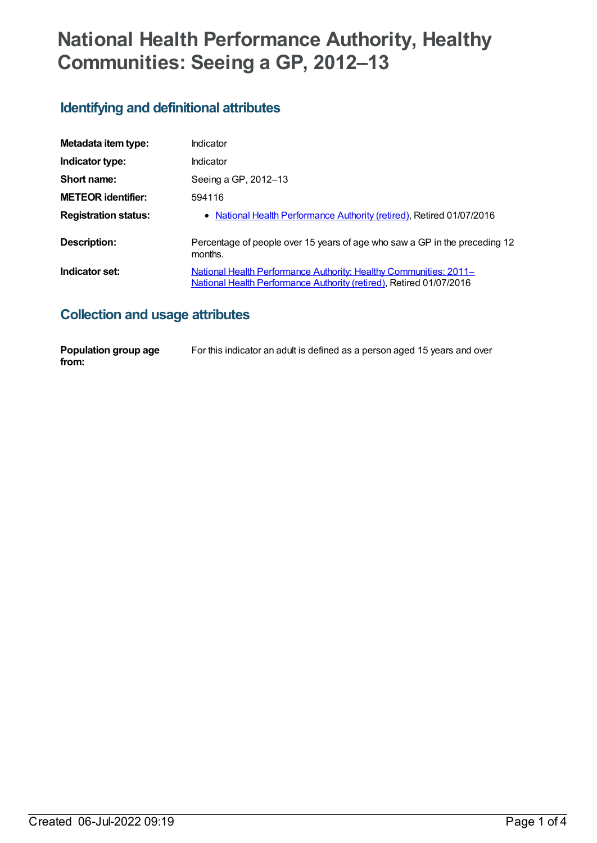# **National Health Performance Authority, Healthy Communities: Seeing a GP, 2012–13**

## **Identifying and definitional attributes**

| Metadata item type:         | Indicator                                                                                                                                |
|-----------------------------|------------------------------------------------------------------------------------------------------------------------------------------|
| Indicator type:             | Indicator                                                                                                                                |
| Short name:                 | Seeing a GP, 2012-13                                                                                                                     |
| <b>METEOR identifier:</b>   | 594116                                                                                                                                   |
| <b>Registration status:</b> | • National Health Performance Authority (retired), Retired 01/07/2016                                                                    |
| Description:                | Percentage of people over 15 years of age who saw a GP in the preceding 12<br>months.                                                    |
| Indicator set:              | National Health Performance Authority: Healthy Communities: 2011-<br>National Health Performance Authority (retired), Retired 01/07/2016 |

### **Collection and usage attributes**

| Population group age | For this indicator an adult is defined as a person aged 15 years and over |
|----------------------|---------------------------------------------------------------------------|
| from:                |                                                                           |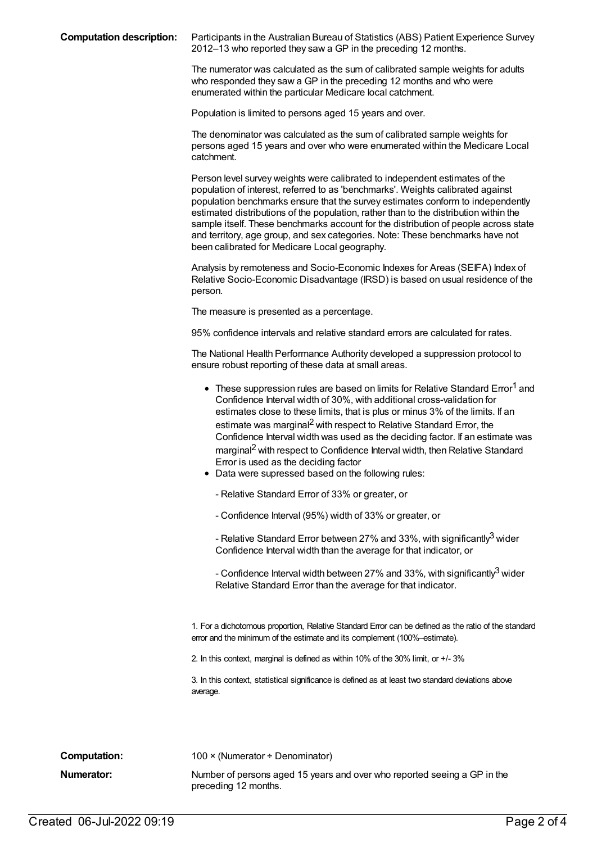**Computation description:** Participants in the Australian Bureau of Statistics (ABS) Patient Experience Survey 2012–13 who reported they saw a GP in the preceding 12 months.

> The numerator was calculated as the sum of calibrated sample weights for adults who responded they saw a GP in the preceding 12 months and who were enumerated within the particular Medicare local catchment.

Population is limited to persons aged 15 years and over.

The denominator was calculated as the sum of calibrated sample weights for persons aged 15 years and over who were enumerated within the Medicare Local catchment.

Person level survey weights were calibrated to independent estimates of the population of interest, referred to as 'benchmarks'. Weights calibrated against population benchmarks ensure that the survey estimates conform to independently estimated distributions of the population, rather than to the distribution within the sample itself. These benchmarks account for the distribution of people across state and territory, age group, and sex categories. Note: These benchmarks have not been calibrated for Medicare Local geography.

Analysis by remoteness and Socio-Economic Indexes for Areas (SEIFA) Index of Relative Socio-Economic Disadvantage (IRSD) is based on usual residence of the person.

The measure is presented as a percentage.

95% confidence intervals and relative standard errors are calculated for rates.

The National Health Performance Authority developed a suppression protocol to ensure robust reporting of these data at small areas.

| • These suppression rules are based on limits for Relative Standard Error <sup>1</sup> and |
|--------------------------------------------------------------------------------------------|
| Confidence Interval width of 30%, with additional cross-validation for                     |
| estimates close to these limits, that is plus or minus 3% of the limits. If an             |
| estimate was marginal <sup>2</sup> with respect to Relative Standard Error, the            |
| Confidence Interval width was used as the deciding factor. If an estimate was              |
| marginal <sup>2</sup> with respect to Confidence Interval width, then Relative Standard    |
| Error is used as the deciding factor                                                       |
|                                                                                            |

- Data were supressed based on the following rules:
	- Relative Standard Error of 33% or greater, or
	- Confidence Interval (95%) width of 33% or greater, or

- Relative Standard Error between 27% and 33%, with significantly $^3$  wider Confidence Interval width than the average for that indicator, or

- Confidence Interval width between 27% and 33%, with significantly $^3$  wider Relative Standard Error than the average for that indicator.

1. For a dichotomous proportion, Relative Standard Error can be defined as the ratio of the standard error and the minimum of the estimate and its complement (100%–estimate).

2. In this context, marginal is defined as within 10% of the 30% limit, or +/- 3%

3. In this context, statistical significance is defined as at least two standard deviations above average.

**Computation:** 100 × (Numerator ÷ Denominator) **Numerator:** Number of persons aged 15 years and over who reported seeing a GP in the preceding 12 months.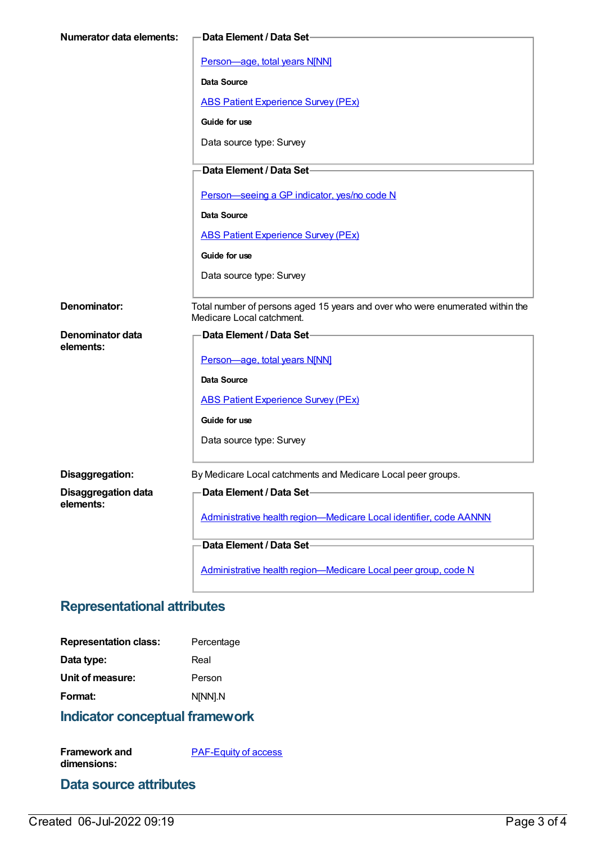| <b>Numerator data elements:</b> | <b>Data Element / Data Set-</b>                                                                            |
|---------------------------------|------------------------------------------------------------------------------------------------------------|
|                                 | Person-age, total years N[NN]                                                                              |
|                                 | Data Source                                                                                                |
|                                 | <b>ABS Patient Experience Survey (PEx)</b>                                                                 |
|                                 |                                                                                                            |
|                                 | Guide for use                                                                                              |
|                                 | Data source type: Survey                                                                                   |
|                                 | Data Element / Data Set-                                                                                   |
|                                 | Person-seeing a GP indicator, yes/no code N                                                                |
|                                 | <b>Data Source</b>                                                                                         |
|                                 | <b>ABS Patient Experience Survey (PEx)</b>                                                                 |
|                                 | Guide for use                                                                                              |
|                                 | Data source type: Survey                                                                                   |
|                                 |                                                                                                            |
| Denominator:                    | Total number of persons aged 15 years and over who were enumerated within the<br>Medicare Local catchment. |
| Denominator data                | Data Element / Data Set-                                                                                   |
| elements:                       | Person-age, total years N[NN]                                                                              |
|                                 | <b>Data Source</b>                                                                                         |
|                                 | <b>ABS Patient Experience Survey (PEx)</b>                                                                 |
|                                 | Guide for use                                                                                              |
|                                 | Data source type: Survey                                                                                   |
|                                 |                                                                                                            |
| Disaggregation:                 | By Medicare Local catchments and Medicare Local peer groups.                                               |
| <b>Disaggregation data</b>      | Data Element / Data Set-                                                                                   |
| elements:                       | Administrative health region-Medicare Local identifier, code AANNN                                         |
|                                 |                                                                                                            |
|                                 | Data Element / Data Set-                                                                                   |
|                                 | Administrative health region-Medicare Local peer group, code N                                             |

## **Representational attributes**

| <b>Representation class:</b> | Percentage |
|------------------------------|------------|
| Data type:                   | Real       |
| Unit of measure:             | Person     |
| Format:                      | N[NN].N    |
|                              |            |

## **Indicator conceptual framework**

**Framework and dimensions:** [PAF-Equity](https://meteor.aihw.gov.au/content/554927) of access

#### **Data source attributes**